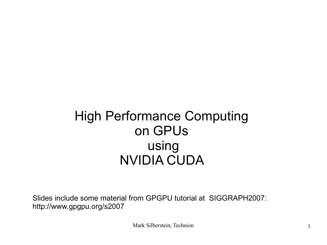#### High Performance Computing on GPUs using NVIDIA CUDA

Slides include some material from GPGPU tutorial at SIGGRAPH2007: http://www.gpgpu.org/s2007

Mark Silberstein, Technion 1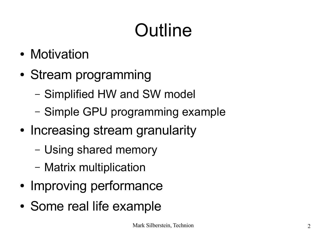# Outline

- Motivation
- Stream programming
	- Simplified HW and SW model
	- Simple GPU programming example
- Increasing stream granularity
	- Using shared memory
	- Matrix multiplication
- Improving performance
- Some real life example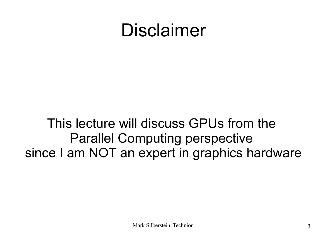#### Disclaimer

#### This lecture will discuss GPUs from the Parallel Computing perspective since I am NOT an expert in graphics hardware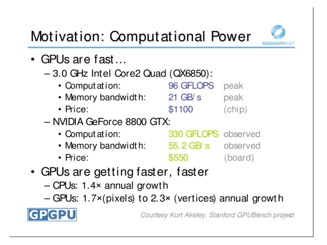

#### Motivation: Computational Power

- GPUs are fast...
	- $-3.0$  GHz Intel Core2 Quad (QX6850):
		- 96 GFLOPS • Comput at ion: peak • Memory bandwidth: 21 GB/s peak
		- \$1100  $(chip)$  $\cdot$  Price:
	- NVIDIA GeForce 8800 GTX:
		- Comput at ion: **330 GFLOPS** observed • Memory bandwidth: 55.2 GB/s observed \$550 (board)  $\cdot$  Price:
- GPUs are getting faster, faster
	- $-$  CPUs: 1.4 $\times$  annual growth
	- GPUs: 1.7×(pixels) to 2.3× (vertices) annual growth



Courtesy Kurt Akeley, Stanford GPUBench project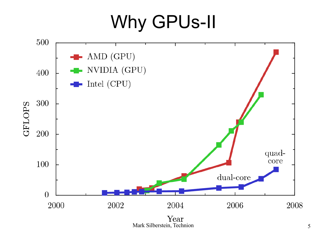#### Why GPUs-II

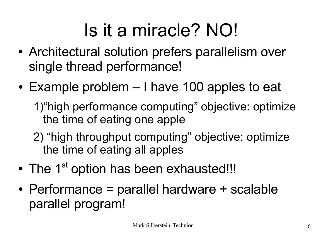## Is it a miracle? NO!

- Architectural solution prefers parallelism over single thread performance!
- $\cdot$  Example problem  $-$  I have 100 apples to eat 1)"high performance computing" objective: optimize
	- the time of eating one apple
	- 2) "high throughput computing" objective: optimize the time of eating all apples
- The 1<sup>st</sup> option has been exhausted!!!
- $\bullet$  Performance = parallel hardware + scalable parallel program!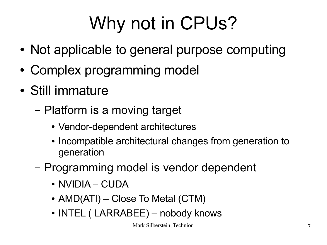# Why not in CPUs?

- Not applicable to general purpose computing
- Complex programming model
- Still immature
	- Platform is a moving target
		- Vendor-dependent architectures
		- Incompatible architectural changes from generation to generation
	- Programming model is vendor dependent
		- NVIDIA CUDA
		- $AMD(ATI) Close$  To Metal  $(CTM)$
		- INTEL ( LARRABEE) nobody knows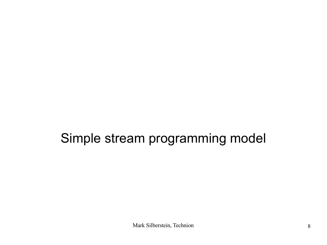#### Simple stream programming model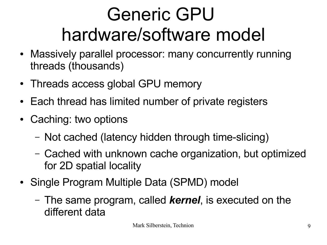## Generic GPU hardware/software model

- Massively parallel processor: many concurrently running threads (thousands)
- Threads access global GPU memory
- Each thread has limited number of private registers
- Caching: two options
	- Not cached (latency hidden through time-slicing)
	- Cached with unknown cache organization, but optimized for 2D spatial locality
- Single Program Multiple Data (SPMD) model
	- The same program, called *kernel*, is executed on the different data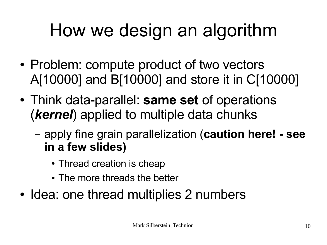# How we design an algorithm

- Problem: compute product of two vectors A[10000] and B[10000] and store it in C[10000]
- Think data-parallel: **same set** of operations (*kernel*) applied to multiple data chunks
	- apply fine grain parallelization (**caution here! see in a few slides)**
		- Thread creation is cheap
		- The more threads the better
- Idea: one thread multiplies 2 numbers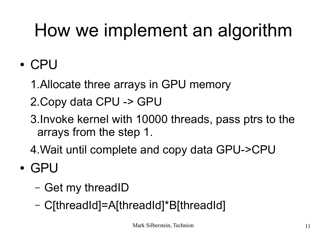# How we implement an algorithm

- CPU
	- 1.Allocate three arrays in GPU memory
	- 2.Copy data CPU -> GPU
	- 3.Invoke kernel with 10000 threads, pass ptrs to the arrays from the step 1.
	- 4.Wait until complete and copy data GPU->CPU
- GPU
	- Get my threadID
	- C[threadId]=A[threadId]\*B[threadId]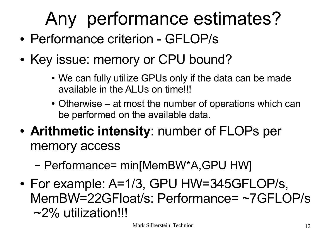# Any performance estimates?

- Performance criterion GFLOP/s
- Key issue: memory or CPU bound?
	- We can fully utilize GPUs only if the data can be made available in the ALUs on time!!!
	- Otherwise at most the number of operations which can be performed on the available data.
- **Arithmetic intensity**: number of FLOPs per memory access
	- Performance= min[MemBW\*A,GPU HW]
- For example: A=1/3, GPU HW=345GFLOP/s, MemBW=22GFloat/s: Performance= ~7GFLOP/s ~2% utilization!!!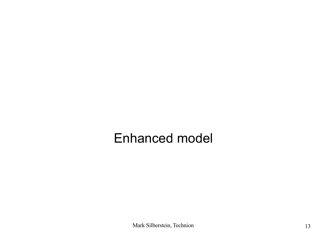#### Enhanced model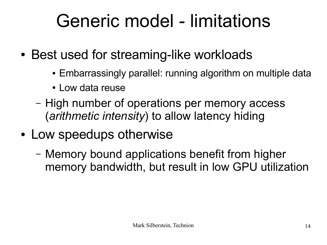### Generic model - limitations

- Best used for streaming-like workloads
	- Embarrassingly parallel: running algorithm on multiple data
	- Low data reuse
	- High number of operations per memory access (*arithmetic intensity*) to allow latency hiding
- Low speedups otherwise
	- Memory bound applications benefit from higher memory bandwidth, but result in low GPU utilization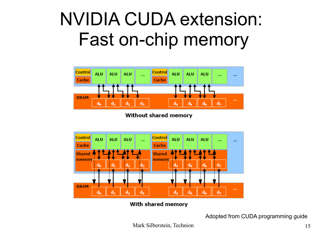#### NVIDIA CUDA extension: Fast on-chip memory



Without shared memory



With shared memory

Adopted from CUDA programming guide

Mark Silberstein, Technion 15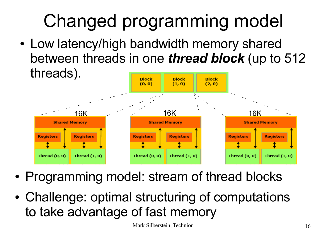# Changed programming model

• Low latency/high bandwidth memory shared between threads in one *thread block* (up to 512 threads).



- Programming model: stream of thread blocks
- Challenge: optimal structuring of computations to take advantage of fast memory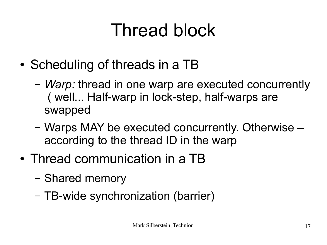## Thread block

- Scheduling of threads in a TB
	- *Warp:* thread in one warp are executed concurrently ( well... Half-warp in lock-step, half-warps are swapped
	- Warps MAY be executed concurrently. Otherwise according to the thread ID in the warp
- Thread communication in a TB
	- Shared memory
	- TB-wide synchronization (barrier)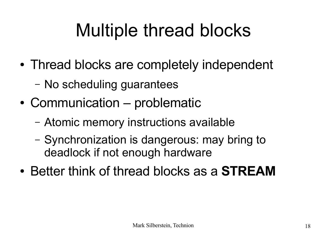# Multiple thread blocks

- Thread blocks are completely independent
	- No scheduling guarantees
- Communication problematic
	- Atomic memory instructions available
	- Synchronization is dangerous: may bring to deadlock if not enough hardware
- Better think of thread blocks as a **STREAM**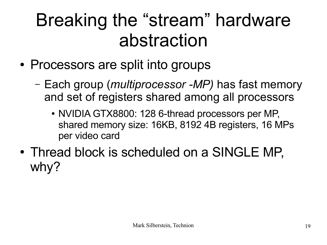### Breaking the "stream" hardware abstraction

- Processors are split into groups
	- Each group (*multiprocessor -MP)* has fast memory and set of registers shared among all processors
		- NVIDIA GTX8800: 128 6-thread processors per MP, shared memory size: 16KB, 8192 4B registers, 16 MPs per video card
- Thread block is scheduled on a SINGLE MP, why?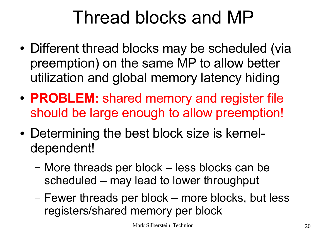### Thread blocks and MP

- Different thread blocks may be scheduled (via preemption) on the same MP to allow better utilization and global memory latency hiding
- **PROBLEM:** shared memory and register file should be large enough to allow preemption!
- Determining the best block size is kerneldependent!
	- More threads per block less blocks can be scheduled – may lead to lower throughput
	- Fewer threads per block more blocks, but less registers/shared memory per block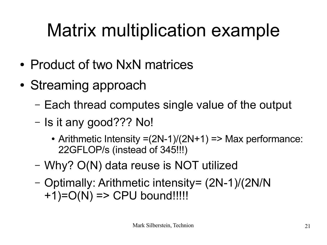# Matrix multiplication example

- Product of two NxN matrices
- Streaming approach
	- Each thread computes single value of the output
	- Is it any good??? No!
		- Arithmetic Intensity  $=(2N-1)/(2N+1)$  => Max performance: 22GFLOP/s (instead of 345!!!)
	- Why? O(N) data reuse is NOT utilized
	- Optimally: Arithmetic intensity= (2N-1)/(2N/N  $+1$ )= $O(N)$  => CPU bound!!!!!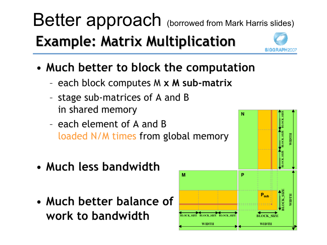### Better approach (borrowed from Mark Harris slides) **Example: Matrix Multiplication**

- Much better to block the computation
	- each block computes M x M sub-matrix
	- stage sub-matrices of A and B in shared memory
	- each element of A and B loaded N/M times from global memory
- Much less bandwidth
- Much better balance of work to bandwidth



N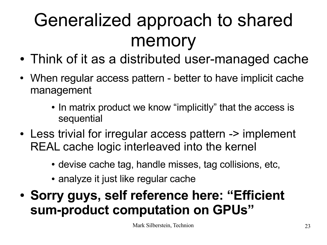# Generalized approach to shared memory

- Think of it as a distributed user-managed cache
- When regular access pattern better to have implicit cache management
	- In matrix product we know "implicitly" that the access is sequential
- Less trivial for irregular access pattern -> implement REAL cache logic interleaved into the kernel
	- devise cache tag, handle misses, tag collisions, etc,
	- analyze it just like regular cache
- **Sorry guys, self reference here: "Efficient sum-product computation on GPUs"**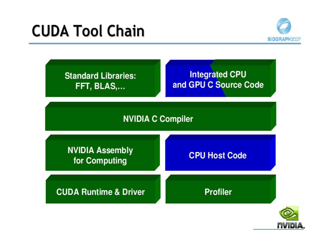#### **CUDA Tool Chain**



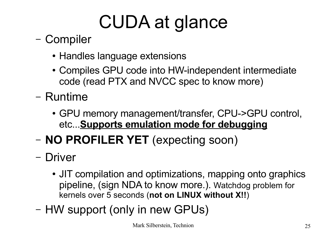# CUDA at glance

- Compiler
	- Handles language extensions
	- Compiles GPU code into HW-independent intermediate code (read PTX and NVCC spec to know more)
- Runtime
	- GPU memory management/transfer, CPU->GPU control, etc...**Supports emulation mode for debugging**
- **NO PROFILER YET** (expecting soon)
- Driver
	- JIT compilation and optimizations, mapping onto graphics pipeline, (sign NDA to know more.). Watchdog problem for kernels over 5 seconds (**not on LINUX without X!!**)
- HW support (only in new GPUs)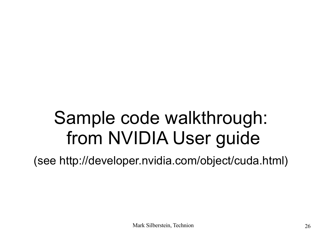### Sample code walkthrough: from NVIDIA User guide

(see http://developer.nvidia.com/object/cuda.html)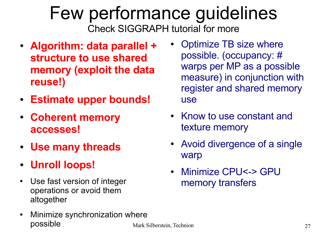#### Few performance guidelines Check SIGGRAPH tutorial for more

- **Algorithm: data parallel + structure to use shared memory (exploit the data reuse!)**
- **Estimate upper bounds!**
- **Coherent memory accesses!**
- **Use many threads**
- **Unroll loops!**
- Use fast version of integer operations or avoid them altogether
- Minimize synchronization where possible
- Optimize TB size where possible. (occupancy: # warps per MP as a possible measure) in conjunction with register and shared memory use
- Know to use constant and texture memory
- Avoid divergence of a single **warp**
- Minimize CPU<-> GPU memory transfers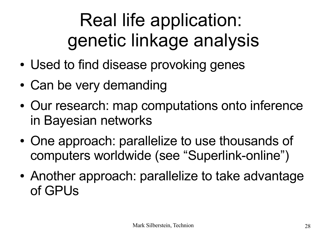# Real life application: genetic linkage analysis

- Used to find disease provoking genes
- Can be very demanding
- Our research: map computations onto inference in Bayesian networks
- One approach: parallelize to use thousands of computers worldwide (see "Superlink-online")
- Another approach: parallelize to take advantage of GPUs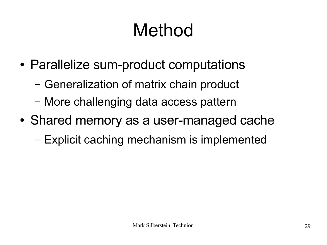# Method

- Parallelize sum-product computations
	- Generalization of matrix chain product
	- More challenging data access pattern
- Shared memory as a user-managed cache
	- Explicit caching mechanism is implemented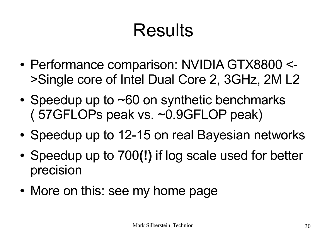## Results

- Performance comparison: NVIDIA GTX8800 <->Single core of Intel Dual Core 2, 3GHz, 2M L2
- Speedup up to  $\neg 60$  on synthetic benchmarks ( 57GFLOPs peak vs. ~0.9GFLOP peak)
- Speedup up to 12-15 on real Bayesian networks
- Speedup up to 700(!) if log scale used for better precision
- More on this: see my home page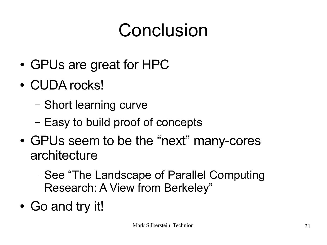## Conclusion

- GPUs are great for HPC
- CUDA rocks!
	- Short learning curve
	- Easy to build proof of concepts
- GPUs seem to be the "next" many-cores architecture
	- See "The Landscape of Parallel Computing Research: A View from Berkeley"
- Go and try it!